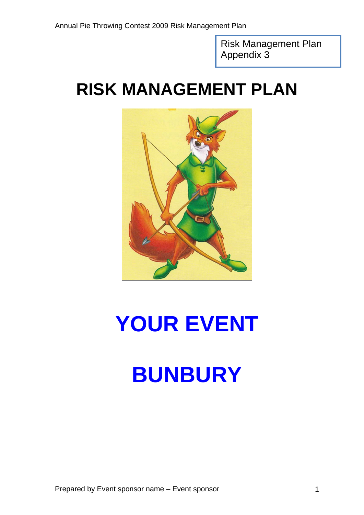Risk Management Plan Appendix 3

## **RISK MANAGEMENT PLAN**



# **YOUR EVENT BUNBURY**

Prepared by Event sponsor name – Event sponsor 1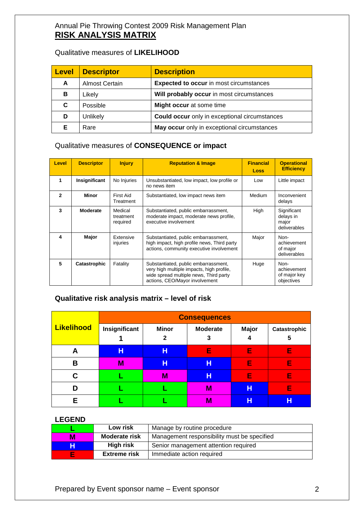#### Annual Pie Throwing Contest 2009 Risk Management Plan **RISK ANALYSIS MATRIX**

#### Qualitative measures of **LIKELIHOOD**

| <b>Level</b> | <b>Descriptor</b>     | <b>Description</b>                                   |
|--------------|-----------------------|------------------------------------------------------|
| A            | <b>Almost Certain</b> | <b>Expected to occur in most circumstances</b>       |
| в            | Likely                | Will probably occur in most circumstances            |
| C            | Possible              | Might occur at some time                             |
| D            | Unlikely              | <b>Could occur</b> only in exceptional circumstances |
|              | Rare                  | May occur only in exceptional circumstances          |

### Qualitative measures of **CONSEQUENCE or impact**

| Level | <b>Descriptor</b> | <b>Injury</b>                    | <b>Reputation &amp; Image</b>                                                                                                                                 | <b>Financial</b><br>Loss | <b>Operational</b><br><b>Efficiency</b>           |
|-------|-------------------|----------------------------------|---------------------------------------------------------------------------------------------------------------------------------------------------------------|--------------------------|---------------------------------------------------|
|       | Insignificant     | No Injuries                      | Unsubstantiated, low impact, low profile or<br>no news item                                                                                                   | Low                      | Little impact                                     |
| 2     | Minor             | First Aid<br>Treatment           | Substantiated, low impact news item                                                                                                                           | Medium                   | Inconvenient<br>delays                            |
| 3     | <b>Moderate</b>   | Medical<br>treatment<br>required | Substantiated, public embarrassment,<br>moderate impact, moderate news profile,<br>executive involvement                                                      | High                     | Significant<br>delays in<br>major<br>deliverables |
| 4     | Major             | Extensive<br>injuries            | Substantiated, public embarrassment,<br>high impact, high profile news, Third party<br>actions, community executive involvement                               | Major                    | Non-<br>achievement<br>of major<br>deliverables   |
| 5     | Catastrophic      | Fatality                         | Substantiated, public embarrassment,<br>very high multiple impacts, high profile,<br>wide spread multiple news, Third party<br>actions, CEO/Mayor involvement | Huge                     | Non-<br>achievement<br>of major key<br>objectives |

#### **Qualitative risk analysis matrix – level of risk**

|                   | <b>Consequences</b> |                              |                      |                   |                   |  |  |  |
|-------------------|---------------------|------------------------------|----------------------|-------------------|-------------------|--|--|--|
| <b>Likelihood</b> | Insignificant       | <b>Minor</b><br>$\mathbf{2}$ | <b>Moderate</b><br>3 | <b>Major</b><br>4 | Catastrophic<br>5 |  |  |  |
| A                 | н                   | н                            | E                    | E                 | E                 |  |  |  |
| B                 | M                   | Н                            | н                    | E                 | E                 |  |  |  |
| C                 |                     | M                            | н                    | E                 | E                 |  |  |  |
| D                 |                     |                              | M                    | н                 | E                 |  |  |  |
| Е                 |                     |                              | M                    | н                 | Н                 |  |  |  |

#### **LEGEND**

|   | Low risk             | Manage by routine procedure                 |
|---|----------------------|---------------------------------------------|
| М | <b>Moderate risk</b> | Management responsibility must be specified |
| н | <b>High risk</b>     | Senior management attention required        |
| F | <b>Extreme risk</b>  | Immediate action required                   |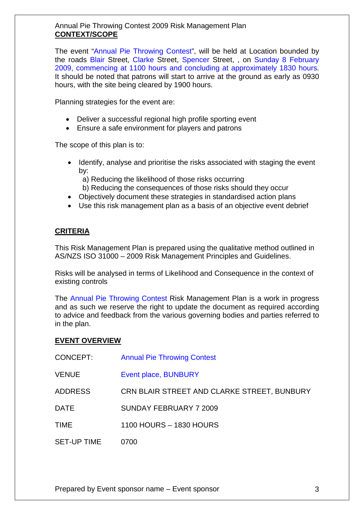#### Annual Pie Throwing Contest 2009 Risk Management Plan **CONTEXT/SCOPE**

The event "Annual Pie Throwing Contest", will be held at Location bounded by the roads Blair Street, Clarke Street, Spencer Street, , on Sunday 8 February 2009, commencing at 1100 hours and concluding at approximately 1830 hours. It should be noted that patrons will start to arrive at the ground as early as 0930 hours, with the site being cleared by 1900 hours.

Planning strategies for the event are:

- Deliver a successful regional high profile sporting event
- Ensure a safe environment for players and patrons

The scope of this plan is to:

- Identify, analyse and prioritise the risks associated with staging the event by:
	- a) Reducing the likelihood of those risks occurring
	- b) Reducing the consequences of those risks should they occur
- Objectively document these strategies in standardised action plans
- Use this risk management plan as a basis of an objective event debrief

#### **CRITERIA**

This Risk Management Plan is prepared using the qualitative method outlined in AS/NZS ISO 31000 – 2009 Risk Management Principles and Guidelines.

Risks will be analysed in terms of Likelihood and Consequence in the context of existing controls

The Annual Pie Throwing Contest Risk Management Plan is a work in progress and as such we reserve the right to update the document as required according to advice and feedback from the various governing bodies and parties referred to in the plan.

#### **EVENT OVERVIEW**

| CONCEPT:           | <b>Annual Pie Throwing Contest</b>          |
|--------------------|---------------------------------------------|
| <b>VENUE</b>       | Event place, BUNBURY                        |
| <b>ADDRESS</b>     | CRN BLAIR STREET AND CLARKE STREET, BUNBURY |
| <b>DATE</b>        | SUNDAY FEBRUARY 7 2009                      |
| <b>TIME</b>        | 1100 HOURS - 1830 HOURS                     |
| <b>SET-UP TIME</b> | 0700                                        |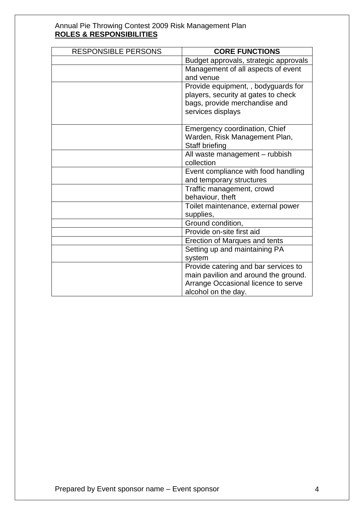#### Annual Pie Throwing Contest 2009 Risk Management Plan **ROLES & RESPONSIBILITIES**

| <b>RESPONSIBLE PERSONS</b> | <b>CORE FUNCTIONS</b>                                                                                                                                                                                                                                                                                                                                                                                                                                         |
|----------------------------|---------------------------------------------------------------------------------------------------------------------------------------------------------------------------------------------------------------------------------------------------------------------------------------------------------------------------------------------------------------------------------------------------------------------------------------------------------------|
|                            | Budget approvals, strategic approvals                                                                                                                                                                                                                                                                                                                                                                                                                         |
|                            | Management of all aspects of event                                                                                                                                                                                                                                                                                                                                                                                                                            |
|                            | and venue                                                                                                                                                                                                                                                                                                                                                                                                                                                     |
|                            | Provide equipment, , bodyguards for                                                                                                                                                                                                                                                                                                                                                                                                                           |
|                            | players, security at gates to check                                                                                                                                                                                                                                                                                                                                                                                                                           |
|                            | bags, provide merchandise and                                                                                                                                                                                                                                                                                                                                                                                                                                 |
|                            | services displays                                                                                                                                                                                                                                                                                                                                                                                                                                             |
|                            |                                                                                                                                                                                                                                                                                                                                                                                                                                                               |
|                            | Emergency coordination, Chief                                                                                                                                                                                                                                                                                                                                                                                                                                 |
|                            | Warden, Risk Management Plan,                                                                                                                                                                                                                                                                                                                                                                                                                                 |
|                            | Staff briefing                                                                                                                                                                                                                                                                                                                                                                                                                                                |
|                            | All waste management - rubbish                                                                                                                                                                                                                                                                                                                                                                                                                                |
|                            |                                                                                                                                                                                                                                                                                                                                                                                                                                                               |
|                            |                                                                                                                                                                                                                                                                                                                                                                                                                                                               |
|                            |                                                                                                                                                                                                                                                                                                                                                                                                                                                               |
|                            |                                                                                                                                                                                                                                                                                                                                                                                                                                                               |
|                            |                                                                                                                                                                                                                                                                                                                                                                                                                                                               |
|                            |                                                                                                                                                                                                                                                                                                                                                                                                                                                               |
|                            |                                                                                                                                                                                                                                                                                                                                                                                                                                                               |
|                            |                                                                                                                                                                                                                                                                                                                                                                                                                                                               |
|                            |                                                                                                                                                                                                                                                                                                                                                                                                                                                               |
|                            |                                                                                                                                                                                                                                                                                                                                                                                                                                                               |
|                            |                                                                                                                                                                                                                                                                                                                                                                                                                                                               |
|                            |                                                                                                                                                                                                                                                                                                                                                                                                                                                               |
|                            |                                                                                                                                                                                                                                                                                                                                                                                                                                                               |
|                            |                                                                                                                                                                                                                                                                                                                                                                                                                                                               |
|                            |                                                                                                                                                                                                                                                                                                                                                                                                                                                               |
|                            | collection<br>Event compliance with food handling<br>and temporary structures<br>Traffic management, crowd<br>behaviour, theft<br>Toilet maintenance, external power<br>supplies,<br>Ground condition,<br>Provide on-site first aid<br>Erection of Marques and tents<br>Setting up and maintaining PA<br>system<br>Provide catering and bar services to<br>main pavilion and around the ground.<br>Arrange Occasional licence to serve<br>alcohol on the day. |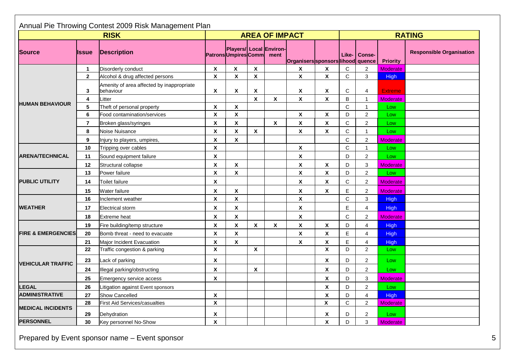|                               | Annual Pie Throwing Contest 2009 Risk Management Plan |                                                        |                           |                                                    |                           |                    |                          |                           |               |                  |                 |                                 |
|-------------------------------|-------------------------------------------------------|--------------------------------------------------------|---------------------------|----------------------------------------------------|---------------------------|--------------------|--------------------------|---------------------------|---------------|------------------|-----------------|---------------------------------|
| <b>RISK</b>                   |                                                       |                                                        | <b>AREA OF IMPACT</b>     |                                                    |                           |                    |                          |                           | <b>RATING</b> |                  |                 |                                 |
| <b>Source</b>                 | llssue                                                | <b>Description</b>                                     |                           | Players/ Local Environ-<br>PatronsUmpiresComm ment |                           |                    | Organiserssponsorslihood |                           | Like-         | Conse-<br>quence | <b>Priority</b> | <b>Responsible Organisation</b> |
|                               | $\mathbf{1}$                                          | Disorderly conduct                                     | $\boldsymbol{\mathsf{X}}$ | $\boldsymbol{\mathsf{x}}$                          | X                         |                    | X                        | X                         | $\mathbf C$   | $\overline{2}$   | <b>Moderate</b> |                                 |
|                               | $\overline{2}$                                        | Alcohol & drug affected persons                        | $\boldsymbol{\mathsf{x}}$ | $\mathbf x$                                        | $\boldsymbol{\mathsf{X}}$ |                    | $\mathbf x$              | $\boldsymbol{\mathsf{x}}$ | $\mathbf C$   | 3                | <b>High</b>     |                                 |
|                               | 3                                                     | Amenity of area affected by inappropriate<br>behaviour | X                         | X                                                  | X                         |                    | X                        | Χ                         | C             | $\overline{4}$   | <b>Extreme</b>  |                                 |
|                               | 4                                                     | Litter                                                 |                           |                                                    | $\boldsymbol{\mathsf{x}}$ | X                  | $\pmb{\mathsf{X}}$       | X                         | B             | $\mathbf{1}$     | <b>Moderate</b> |                                 |
| <b>HUMAN BEHAVIOUR</b>        | 5                                                     | Theft of personal property                             | $\boldsymbol{\mathsf{X}}$ | X                                                  |                           |                    |                          |                           | $\mathsf{C}$  | $\mathbf{1}$     | Low             |                                 |
|                               | 6                                                     | Food contamination/services                            | $\boldsymbol{\mathsf{x}}$ | X                                                  |                           |                    | $\pmb{\mathsf{X}}$       | $\pmb{\mathsf{x}}$        | D             | $\overline{c}$   | Low             |                                 |
|                               | $\overline{7}$                                        | Broken glass/syringes                                  | X                         | $\mathbf{x}$                                       |                           | $\pmb{\mathsf{X}}$ | $\pmb{\mathsf{X}}$       | $\pmb{\mathsf{X}}$        | $\mathbf C$   | $\overline{c}$   | Low             |                                 |
|                               | 8                                                     | Noise Nuisance                                         | $\boldsymbol{\mathsf{x}}$ | $\mathbf{x}$                                       | $\boldsymbol{\mathsf{X}}$ |                    | X                        | X                         | $\mathsf{C}$  | $\mathbf{1}$     | Low             |                                 |
|                               | 9                                                     | Injury to players, umpires,                            | $\boldsymbol{\mathsf{X}}$ | X                                                  |                           |                    |                          |                           | $\mathsf{C}$  | $\overline{c}$   | Moderate        |                                 |
| <b>ARENA/TECHNICAL</b>        | 10                                                    | Tripping over cables                                   | $\boldsymbol{\mathsf{x}}$ |                                                    |                           |                    | X                        |                           | $\mathbf C$   | $\mathbf{1}$     | Low             |                                 |
|                               | 11                                                    | Sound equipment failure                                | $\boldsymbol{\mathsf{X}}$ |                                                    |                           |                    | $\pmb{\mathsf{X}}$       |                           | D             | $\overline{2}$   | Low             |                                 |
|                               | 12                                                    | Structural collapse                                    | X                         | X                                                  |                           |                    | $\pmb{\mathsf{X}}$       | Χ                         | D             | 3                | Moderate        |                                 |
| <b>PUBLIC UTILITY</b>         | 13                                                    | Power failure                                          | $\boldsymbol{\mathsf{X}}$ | X                                                  |                           |                    | X                        | X                         | D             | $\overline{c}$   | Low             |                                 |
|                               | 14                                                    | <b>Toilet failure</b>                                  | X                         |                                                    |                           |                    | X                        | X                         | C             | $\overline{2}$   | Moderate        |                                 |
|                               | 15                                                    | Water failure                                          | $\boldsymbol{\mathsf{X}}$ | X                                                  |                           |                    | $\pmb{\mathsf{X}}$       | X                         | E             | $\overline{2}$   | Moderate        |                                 |
|                               | 16                                                    | Inclement weather                                      | X                         | $\pmb{\mathsf{X}}$                                 |                           |                    | $\pmb{\mathsf{X}}$       |                           | C             | 3                | <b>High</b>     |                                 |
| <b>WEATHER</b>                | 17                                                    | <b>Electrical storm</b>                                | $\mathsf{x}$              | X                                                  |                           |                    | $\pmb{\mathsf{X}}$       |                           | E             | $\overline{4}$   | <b>High</b>     |                                 |
|                               | 18                                                    | <b>Extreme</b> heat                                    | X                         | $\pmb{\mathsf{X}}$                                 |                           |                    | $\pmb{\mathsf{X}}$       |                           | $\mathsf{C}$  | $\overline{2}$   | Moderate        |                                 |
|                               | 19                                                    | Fire building/temp structure                           | $\boldsymbol{\mathsf{x}}$ | $\mathbf{x}$                                       | $\boldsymbol{\mathsf{x}}$ | $\mathbf x$        | $\pmb{\chi}$             | X                         | D             | $\overline{4}$   | <b>High</b>     |                                 |
| <b>FIRE &amp; EMERGENCIES</b> | 20                                                    | Bomb threat - need to evacuate                         | X                         | $\mathbf{x}$                                       |                           |                    | $\pmb{\chi}$             | X                         | E             | $\overline{4}$   | <b>High</b>     |                                 |
|                               | 21                                                    | Major Incident Evacuation                              | X                         | X                                                  |                           |                    | $\pmb{\mathsf{X}}$       | $\pmb{\mathsf{X}}$        | E             | $\overline{4}$   | <b>High</b>     |                                 |
|                               | 22                                                    | Traffic congestion & parking                           | $\overline{\mathbf{x}}$   |                                                    | X                         |                    |                          | $\overline{\mathbf{x}}$   | D.            | $\overline{c}$   | Low             |                                 |
| <b>VEHICULAR TRAFFIC</b>      | 23                                                    | Lack of parking                                        | X                         |                                                    |                           |                    |                          | X                         | D             | $\overline{2}$   | Low             |                                 |
|                               | 24                                                    | Illegal parking/obstructing                            | $\boldsymbol{\mathsf{X}}$ |                                                    | X                         |                    |                          | X                         | D             | $\overline{2}$   | Low             |                                 |
|                               | 25                                                    | Emergency service access                               | $\pmb{\mathsf{x}}$        |                                                    |                           |                    |                          | $\pmb{\mathsf{X}}$        | D             | 3                | Moderate        |                                 |
| <b>LEGAL</b>                  | 26                                                    | Litigation against Event sponsors                      |                           |                                                    |                           |                    |                          | X                         | D             | $\overline{2}$   | Low             |                                 |
| <b>ADMINISTRATIVE</b>         | 27                                                    | Show Cancelled                                         | $\boldsymbol{\mathsf{x}}$ |                                                    |                           |                    |                          | X                         | D             | $\overline{4}$   | <b>High</b>     |                                 |
|                               | 28                                                    | <b>First Aid Services/casualties</b>                   | $\pmb{\mathsf{X}}$        |                                                    |                           |                    |                          | $\boldsymbol{\mathsf{X}}$ | $\mathbf C$   | $\overline{2}$   | Moderate        |                                 |
| <b>MEDICAL INCIDENTS</b>      | 29                                                    | Dehydration                                            | X                         |                                                    |                           |                    |                          | X                         | D             | $\overline{2}$   | Low             |                                 |
| <b>PERSONNEL</b>              | 30                                                    | Key personnel No-Show                                  | $\boldsymbol{\mathsf{x}}$ |                                                    |                           |                    |                          | $\pmb{\mathsf{X}}$        | D             | 3                | <b>Moderate</b> |                                 |

Prepared by Event sponsor name – Event sponsor 5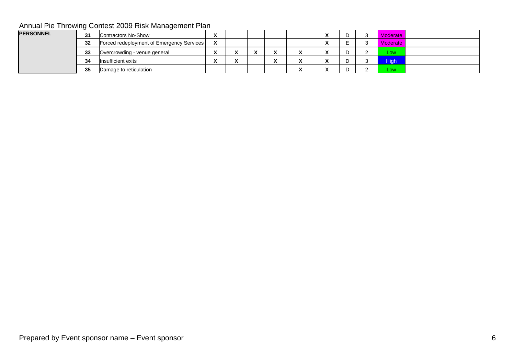| <b>PERSONNEL</b> | 31 | Annual Pie Throwing Contest 2009 Risk Management Plan<br>Contractors No-Show | $\boldsymbol{\mathsf{X}}$ |              |                    |              |                           | $\pmb{\chi}$            | $\mathsf D$ | $\mathbf{3}$   | Moderate    |  |
|------------------|----|------------------------------------------------------------------------------|---------------------------|--------------|--------------------|--------------|---------------------------|-------------------------|-------------|----------------|-------------|--|
|                  | 32 | Forced redeployment of Emergency Services                                    | $\pmb{\chi}$              |              |                    |              |                           | $\overline{\mathbf{x}}$ | $\mathsf E$ | $\mathbf{3}$   | Moderate    |  |
|                  | 33 | Overcrowding - venue general                                                 | $\pmb{\chi}$              | $\mathbf{x}$ | $\pmb{\mathsf{X}}$ | $\mathbf{x}$ | $\mathbf{x}$              | $\mathbf{x}$            | D           | $\overline{2}$ | Low         |  |
|                  | 34 | Insufficient exits                                                           | $\pmb{\chi}$              | $\mathbf{x}$ |                    | $\mathbf{x}$ | $\mathbf{x}$              | $\overline{\mathbf{X}}$ | D           | $\mathbf{3}$   | <b>High</b> |  |
|                  | 35 | Damage to reticulation                                                       |                           |              |                    |              | $\boldsymbol{\mathsf{X}}$ | $\pmb{\chi}$            | $\mathsf D$ | $\overline{2}$ | Low         |  |
|                  |    |                                                                              |                           |              |                    |              |                           |                         |             |                |             |  |
|                  |    |                                                                              |                           |              |                    |              |                           |                         |             |                |             |  |
|                  |    |                                                                              |                           |              |                    |              |                           |                         |             |                |             |  |
|                  |    |                                                                              |                           |              |                    |              |                           |                         |             |                |             |  |
|                  |    |                                                                              |                           |              |                    |              |                           |                         |             |                |             |  |
|                  |    |                                                                              |                           |              |                    |              |                           |                         |             |                |             |  |
|                  |    |                                                                              |                           |              |                    |              |                           |                         |             |                |             |  |
|                  |    |                                                                              |                           |              |                    |              |                           |                         |             |                |             |  |
|                  |    |                                                                              |                           |              |                    |              |                           |                         |             |                |             |  |
|                  |    |                                                                              |                           |              |                    |              |                           |                         |             |                |             |  |
|                  |    |                                                                              |                           |              |                    |              |                           |                         |             |                |             |  |
|                  |    |                                                                              |                           |              |                    |              |                           |                         |             |                |             |  |
|                  |    |                                                                              |                           |              |                    |              |                           |                         |             |                |             |  |
|                  |    |                                                                              |                           |              |                    |              |                           |                         |             |                |             |  |
|                  |    |                                                                              |                           |              |                    |              |                           |                         |             |                |             |  |
|                  |    |                                                                              |                           |              |                    |              |                           |                         |             |                |             |  |
|                  |    |                                                                              |                           |              |                    |              |                           |                         |             |                |             |  |
|                  |    |                                                                              |                           |              |                    |              |                           |                         |             |                |             |  |
|                  |    |                                                                              |                           |              |                    |              |                           |                         |             |                |             |  |
|                  |    |                                                                              |                           |              |                    |              |                           |                         |             |                |             |  |
|                  |    |                                                                              |                           |              |                    |              |                           |                         |             |                |             |  |
|                  |    |                                                                              |                           |              |                    |              |                           |                         |             |                |             |  |
|                  |    |                                                                              |                           |              |                    |              |                           |                         |             |                |             |  |
|                  |    |                                                                              |                           |              |                    |              |                           |                         |             |                |             |  |
|                  |    |                                                                              |                           |              |                    |              |                           |                         |             |                |             |  |
|                  |    |                                                                              |                           |              |                    |              |                           |                         |             |                |             |  |
|                  |    |                                                                              |                           |              |                    |              |                           |                         |             |                |             |  |
|                  |    |                                                                              |                           |              |                    |              |                           |                         |             |                |             |  |
|                  |    |                                                                              |                           |              |                    |              |                           |                         |             |                |             |  |
|                  |    |                                                                              |                           |              |                    |              |                           |                         |             |                |             |  |
|                  |    |                                                                              |                           |              |                    |              |                           |                         |             |                |             |  |
|                  |    |                                                                              |                           |              |                    |              |                           |                         |             |                |             |  |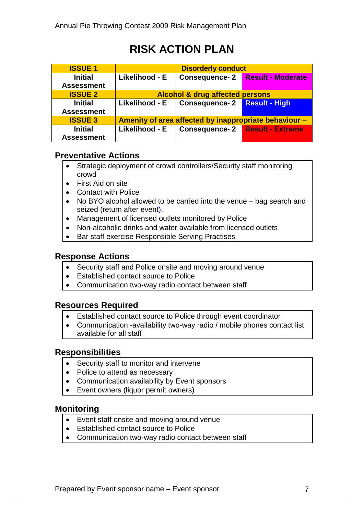| <b>ISSUE 1</b>    | <b>Disorderly conduct</b>                             |                                       |                                    |  |  |  |  |
|-------------------|-------------------------------------------------------|---------------------------------------|------------------------------------|--|--|--|--|
| <b>Initial</b>    | Likelihood - E                                        |                                       | Consequence- 2   Result - Moderate |  |  |  |  |
| <b>Assessment</b> |                                                       |                                       |                                    |  |  |  |  |
| <b>ISSUE 2</b>    | <b>Alcohol &amp; drug affected persons</b>            |                                       |                                    |  |  |  |  |
| <b>Initial</b>    | Likelihood - E                                        | <b>Consequence-2</b> Result - High    |                                    |  |  |  |  |
| <b>Assessment</b> |                                                       |                                       |                                    |  |  |  |  |
| <b>ISSUE 3</b>    | Amenity of area affected by inappropriate behaviour - |                                       |                                    |  |  |  |  |
| <b>Initial</b>    | Likelihood - E                                        | <b>Consequence-2 Result - Extreme</b> |                                    |  |  |  |  |
| <b>Assessment</b> |                                                       |                                       |                                    |  |  |  |  |

#### **Preventative Actions**

- Strategic deployment of crowd controllers/Security staff monitoring crowd
- First Aid on site
- Contact with Police
- No BYO alcohol allowed to be carried into the venue bag search and seized (return after event).
- Management of licensed outlets monitored by Police
- Non-alcoholic drinks and water available from licensed outlets
- Bar staff exercise Responsible Serving Practises

#### **Response Actions**

- Security staff and Police onsite and moving around venue
- Established contact source to Police
- Communication two-way radio contact between staff

#### **Resources Required**

- Established contact source to Police through event coordinator
- Communication -availability two-way radio / mobile phones contact list available for all staff

#### **Responsibilities**

- Security staff to monitor and intervene
- Police to attend as necessary
- Communication availability by Event sponsors
- Event owners (liquor permit owners)

#### **Monitoring**

- Event staff onsite and moving around venue
- Established contact source to Police
- Communication two-way radio contact between staff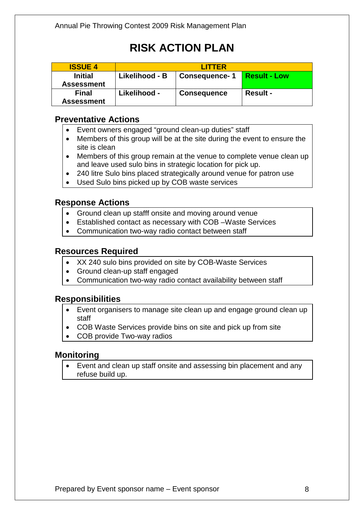| <b>ISSUE 4</b>                      | <b>LITTER</b>  |                      |                     |  |  |  |  |
|-------------------------------------|----------------|----------------------|---------------------|--|--|--|--|
| <b>Initial</b><br><b>Assessment</b> | Likelihood - B | <b>Consequence-1</b> | <b>Result - Low</b> |  |  |  |  |
| <b>Final</b><br><b>Assessment</b>   | Likelihood -   | <b>Consequence</b>   | <b>Result -</b>     |  |  |  |  |

#### **Preventative Actions**

- Event owners engaged "ground clean-up duties" staff
- Members of this group will be at the site during the event to ensure the site is clean
- Members of this group remain at the venue to complete venue clean up and leave used sulo bins in strategic location for pick up.
- 240 litre Sulo bins placed strategically around venue for patron use
- Used Sulo bins picked up by COB waste services

#### **Response Actions**

- Ground clean up stafff onsite and moving around venue
- Established contact as necessary with COB –Waste Services
- Communication two-way radio contact between staff

#### **Resources Required**

- XX 240 sulo bins provided on site by COB-Waste Services
- Ground clean-up staff engaged
- Communication two-way radio contact availability between staff

#### **Responsibilities**

- Event organisers to manage site clean up and engage ground clean up staff
- COB Waste Services provide bins on site and pick up from site
- COB provide Two-way radios

#### **Monitoring**

• Event and clean up staff onsite and assessing bin placement and any refuse build up.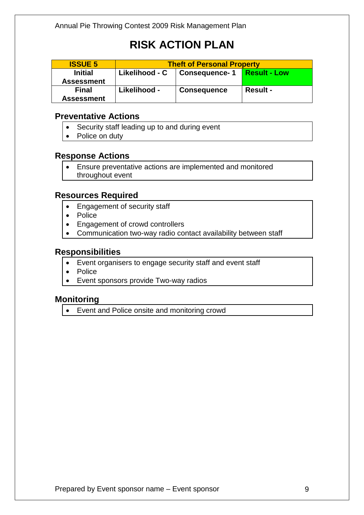| <b>ISSUE 5</b>    | <b>Theft of Personal Property</b> |                      |                     |  |  |  |  |
|-------------------|-----------------------------------|----------------------|---------------------|--|--|--|--|
| <b>Initial</b>    | Likelihood - C                    | <b>Consequence-1</b> | <b>Result - Low</b> |  |  |  |  |
| <b>Assessment</b> |                                   |                      |                     |  |  |  |  |
| <b>Final</b>      | Likelihood -                      | <b>Consequence</b>   | <b>Result -</b>     |  |  |  |  |
| <b>Assessment</b> |                                   |                      |                     |  |  |  |  |

#### **Preventative Actions**

- Security staff leading up to and during event
- Police on duty

#### **Response Actions**

• Ensure preventative actions are implemented and monitored throughout event

#### **Resources Required**

- Engagement of security staff
- Police
- Engagement of crowd controllers
- Communication two-way radio contact availability between staff

#### **Responsibilities**

- Event organisers to engage security staff and event staff
- Police
- Event sponsors provide Two-way radios

#### **Monitoring**

• Event and Police onsite and monitoring crowd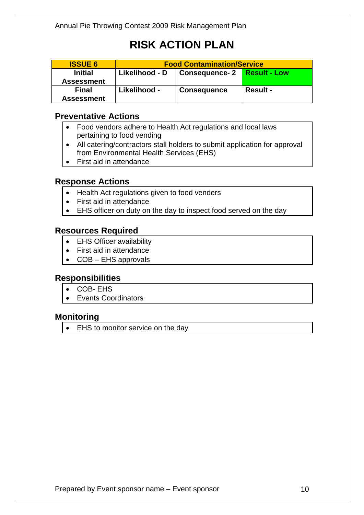| <b>ISSUE 6</b>                      | <b>Food Contamination/Service</b> |                    |                     |  |  |  |  |
|-------------------------------------|-----------------------------------|--------------------|---------------------|--|--|--|--|
| <b>Initial</b><br><b>Assessment</b> | Likelihood - D                    | Consequence- 2     | <b>Result - Low</b> |  |  |  |  |
| <b>Final</b><br><b>Assessment</b>   | Likelihood -                      | <b>Consequence</b> | <b>Result -</b>     |  |  |  |  |

#### **Preventative Actions**

- Food vendors adhere to Health Act regulations and local laws pertaining to food vending
- All catering/contractors stall holders to submit application for approval from Environmental Health Services (EHS)
- First aid in attendance

#### **Response Actions**

- Health Act regulations given to food venders
- First aid in attendance
- EHS officer on duty on the day to inspect food served on the day

#### **Resources Required**

- EHS Officer availability
- First aid in attendance
- COB EHS approvals

#### **Responsibilities**

- COB- EHS
- Events Coordinators

#### **Monitoring**

• EHS to monitor service on the day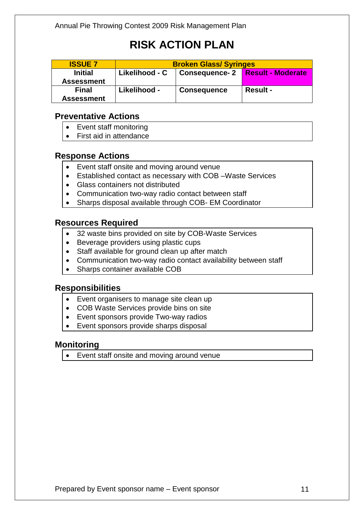| <b>ISSUE 7</b>                      | <b>Broken Glass/ Syringes</b> |                      |                          |
|-------------------------------------|-------------------------------|----------------------|--------------------------|
| <b>Initial</b><br><b>Assessment</b> | Likelihood - C                | <b>Consequence-2</b> | <b>Result - Moderate</b> |
| <b>Final</b><br><b>Assessment</b>   | Likelihood -                  | <b>Consequence</b>   | <b>Result -</b>          |

#### **Preventative Actions**

- Event staff monitoring
- First aid in attendance

#### **Response Actions**

- Event staff onsite and moving around venue
- Established contact as necessary with COB –Waste Services
- Glass containers not distributed
- Communication two-way radio contact between staff
- Sharps disposal available through COB- EM Coordinator

#### **Resources Required**

- 32 waste bins provided on site by COB-Waste Services
- Beverage providers using plastic cups
- Staff available for ground clean up after match
- Communication two-way radio contact availability between staff
- Sharps container available COB

#### **Responsibilities**

- Event organisers to manage site clean up
- COB Waste Services provide bins on site
- Event sponsors provide Two-way radios
- Event sponsors provide sharps disposal

#### **Monitoring**

• Event staff onsite and moving around venue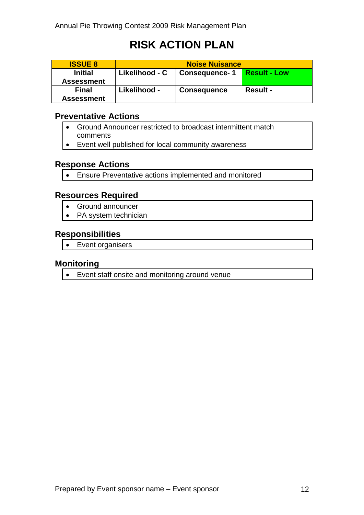| <b>ISSUE 8</b>                      | <b>Noise Nuisance</b> |                    |                     |
|-------------------------------------|-----------------------|--------------------|---------------------|
| <b>Initial</b><br><b>Assessment</b> | Likelihood - C        | Consequence- 1     | <b>Result - Low</b> |
| <b>Final</b><br><b>Assessment</b>   | Likelihood -          | <b>Consequence</b> | <b>Result -</b>     |

#### **Preventative Actions**

- Ground Announcer restricted to broadcast intermittent match comments
- Event well published for local community awareness

#### **Response Actions**

• Ensure Preventative actions implemented and monitored

#### **Resources Required**

- Ground announcer
- PA system technician

#### **Responsibilities**

• Event organisers

#### **Monitoring**

• Event staff onsite and monitoring around venue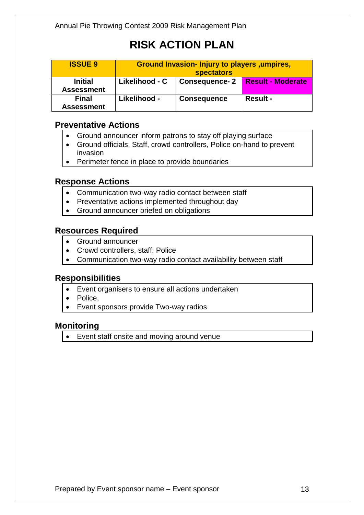| <b>ISSUE 9</b>                      | Ground Invasion- Injury to players, umpires,<br><b>spectators</b> |                      |                          |
|-------------------------------------|-------------------------------------------------------------------|----------------------|--------------------------|
| <b>Initial</b><br><b>Assessment</b> | Likelihood - C                                                    | <b>Consequence-2</b> | <b>Result - Moderate</b> |
| <b>Final</b><br><b>Assessment</b>   | Likelihood -                                                      | <b>Consequence</b>   | <b>Result -</b>          |

#### **Preventative Actions**

- Ground announcer inform patrons to stay off playing surface
- Ground officials. Staff, crowd controllers, Police on-hand to prevent invasion
- Perimeter fence in place to provide boundaries

#### **Response Actions**

- Communication two-way radio contact between staff
- Preventative actions implemented throughout day
- Ground announcer briefed on obligations

#### **Resources Required**

- Ground announcer
- Crowd controllers, staff, Police
- Communication two-way radio contact availability between staff

#### **Responsibilities**

- Event organisers to ensure all actions undertaken
- Police.
- Event sponsors provide Two-way radios

#### **Monitoring**

• Event staff onsite and moving around venue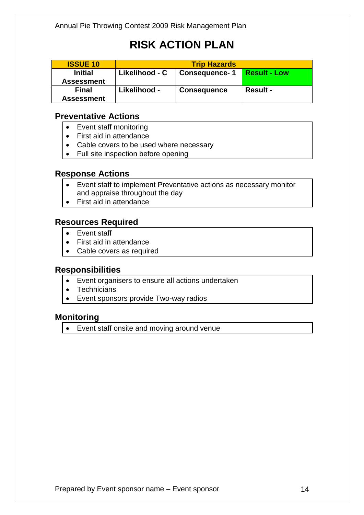| <b>ISSUE 10</b>                     | <b>Trip Hazards</b> |                      |                     |
|-------------------------------------|---------------------|----------------------|---------------------|
| <b>Initial</b><br><b>Assessment</b> | Likelihood - C      | <b>Consequence-1</b> | <b>Result - Low</b> |
| <b>Final</b><br><b>Assessment</b>   | Likelihood -        | <b>Consequence</b>   | <b>Result -</b>     |

#### **Preventative Actions**

- Event staff monitoring
- First aid in attendance
- Cable covers to be used where necessary
- Full site inspection before opening

#### **Response Actions**

- Event staff to implement Preventative actions as necessary monitor and appraise throughout the day
- First aid in attendance

#### **Resources Required**

- Event staff
- First aid in attendance
- Cable covers as required

#### **Responsibilities**

- Event organisers to ensure all actions undertaken
- Technicians
- Event sponsors provide Two-way radios

#### **Monitoring**

• Event staff onsite and moving around venue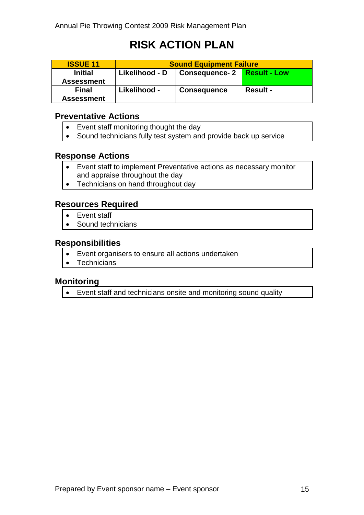| <b>ISSUE 11</b>                     | <b>Sound Equipment Failure</b> |                    |                 |
|-------------------------------------|--------------------------------|--------------------|-----------------|
| <b>Initial</b><br><b>Assessment</b> | Likelihood - D                 |                    |                 |
| <b>Final</b><br><b>Assessment</b>   | Likelihood -                   | <b>Consequence</b> | <b>Result -</b> |

#### **Preventative Actions**

- Event staff monitoring thought the day
- Sound technicians fully test system and provide back up service

#### **Response Actions**

- Event staff to implement Preventative actions as necessary monitor and appraise throughout the day
- Technicians on hand throughout day

#### **Resources Required**

- Event staff
- Sound technicians

#### **Responsibilities**

- Event organisers to ensure all actions undertaken
- **Technicians**

#### **Monitoring**

• Event staff and technicians onsite and monitoring sound quality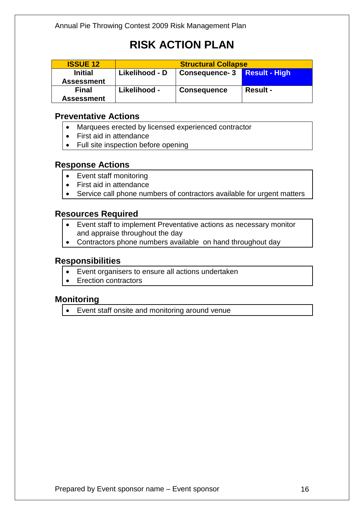| <b>ISSUE 12</b>   | <b>Structural Collapse</b> |                      |                      |
|-------------------|----------------------------|----------------------|----------------------|
| <b>Initial</b>    | Likelihood - D             | <b>Consequence-3</b> | <b>Result - High</b> |
| <b>Assessment</b> |                            |                      |                      |
| <b>Final</b>      | Likelihood -               | <b>Consequence</b>   | <b>Result -</b>      |
| <b>Assessment</b> |                            |                      |                      |

#### **Preventative Actions**

- Marquees erected by licensed experienced contractor
- First aid in attendance
- Full site inspection before opening

#### **Response Actions**

- Event staff monitoring
- First aid in attendance
- Service call phone numbers of contractors available for urgent matters

#### **Resources Required**

- Event staff to implement Preventative actions as necessary monitor and appraise throughout the day
- Contractors phone numbers available on hand throughout day

#### **Responsibilities**

- Event organisers to ensure all actions undertaken
- Erection contractors

#### **Monitoring**

• Event staff onsite and monitoring around venue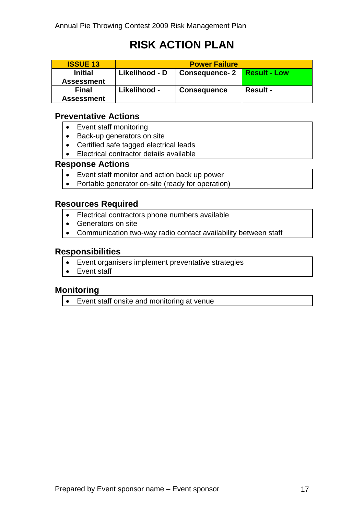| <b>ISSUE 13</b>   | <b>Power Failure</b> |                      |                     |
|-------------------|----------------------|----------------------|---------------------|
| <b>Initial</b>    | Likelihood - D       | <b>Consequence-2</b> | <b>Result - Low</b> |
| <b>Assessment</b> |                      |                      |                     |
| <b>Final</b>      | Likelihood -         | <b>Consequence</b>   | <b>Result -</b>     |
| <b>Assessment</b> |                      |                      |                     |

#### **Preventative Actions**

- Event staff monitoring
- Back-up generators on site
- Certified safe tagged electrical leads
- Electrical contractor details available

#### **Response Actions**

- Event staff monitor and action back up power
- Portable generator on-site (ready for operation)

#### **Resources Required**

- Electrical contractors phone numbers available
- Generators on site
- Communication two-way radio contact availability between staff

#### **Responsibilities**

- Event organisers implement preventative strategies
- Event staff

#### **Monitoring**

• Event staff onsite and monitoring at venue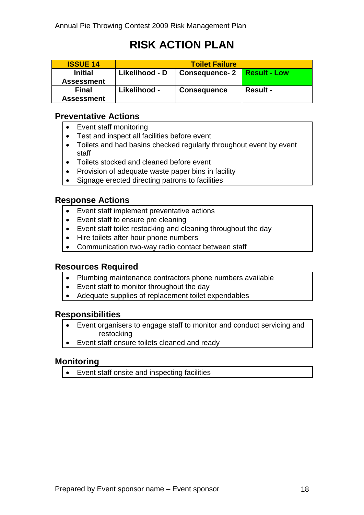| <b>ISSUE 14</b>                     | <b>Toilet Failure</b> |                      |                     |
|-------------------------------------|-----------------------|----------------------|---------------------|
| <b>Initial</b><br><b>Assessment</b> | Likelihood - D        | <b>Consequence-2</b> | <b>Result - Low</b> |
| <b>Final</b><br><b>Assessment</b>   | Likelihood -          | <b>Consequence</b>   | <b>Result -</b>     |

#### **Preventative Actions**

- Event staff monitoring
- Test and inspect all facilities before event
- Toilets and had basins checked regularly throughout event by event staff
- Toilets stocked and cleaned before event
- Provision of adequate waste paper bins in facility
- Signage erected directing patrons to facilities

#### **Response Actions**

- Event staff implement preventative actions
- Event staff to ensure pre cleaning
- Event staff toilet restocking and cleaning throughout the day
- Hire toilets after hour phone numbers
- Communication two-way radio contact between staff

#### **Resources Required**

- Plumbing maintenance contractors phone numbers available
- Event staff to monitor throughout the day
- Adequate supplies of replacement toilet expendables

#### **Responsibilities**

- Event organisers to engage staff to monitor and conduct servicing and restocking
- Event staff ensure toilets cleaned and ready

#### **Monitoring**

• Event staff onsite and inspecting facilities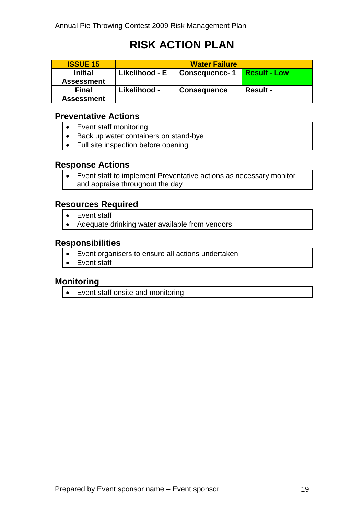| <b>ISSUE 15</b>   | <b>Water Failure</b> |                    |                     |
|-------------------|----------------------|--------------------|---------------------|
| <b>Initial</b>    | Likelihood - E       | Consequence- 1     | <b>Result - Low</b> |
| <b>Assessment</b> |                      |                    |                     |
| <b>Final</b>      | Likelihood -         | <b>Consequence</b> | <b>Result -</b>     |
| <b>Assessment</b> |                      |                    |                     |

#### **Preventative Actions**

- Event staff monitoring
- Back up water containers on stand-bye
- Full site inspection before opening

#### **Response Actions**

• Event staff to implement Preventative actions as necessary monitor and appraise throughout the day

#### **Resources Required**

- Event staff
- Adequate drinking water available from vendors

#### **Responsibilities**

- Event organisers to ensure all actions undertaken
- Event staff

#### **Monitoring**

• Event staff onsite and monitoring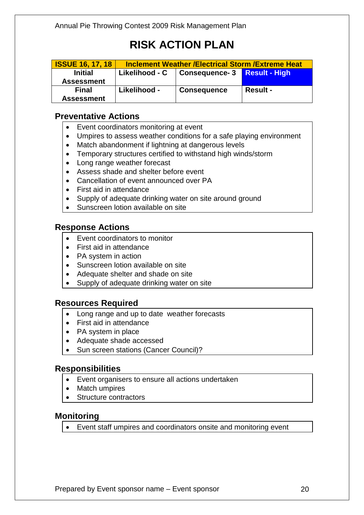| <b>ISSUE 16, 17, 18</b> | <b>Inclement Weather /Electrical Storm /Extreme Heat</b> |                                |                 |
|-------------------------|----------------------------------------------------------|--------------------------------|-----------------|
| <b>Initial</b>          | Likelihood - C                                           | Consequence- 3   Result - High |                 |
| <b>Assessment</b>       |                                                          |                                |                 |
| <b>Final</b>            | Likelihood -                                             | <b>Consequence</b>             | <b>Result -</b> |
| <b>Assessment</b>       |                                                          |                                |                 |

#### **Preventative Actions**

- Event coordinators monitoring at event
- Umpires to assess weather conditions for a safe playing environment
- Match abandonment if lightning at dangerous levels
- Temporary structures certified to withstand high winds/storm
- Long range weather forecast
- Assess shade and shelter before event
- Cancellation of event announced over PA
- First aid in attendance
- Supply of adequate drinking water on site around ground
- Sunscreen lotion available on site

#### **Response Actions**

- Event coordinators to monitor
- First aid in attendance
- PA system in action
- Sunscreen lotion available on site
- Adequate shelter and shade on site
- Supply of adequate drinking water on site

#### **Resources Required**

- Long range and up to date weather forecasts
- First aid in attendance
- PA system in place
- Adequate shade accessed
- Sun screen stations (Cancer Council)?

#### **Responsibilities**

- Event organisers to ensure all actions undertaken
- Match umpires
- Structure contractors

#### **Monitoring**

• Event staff umpires and coordinators onsite and monitoring event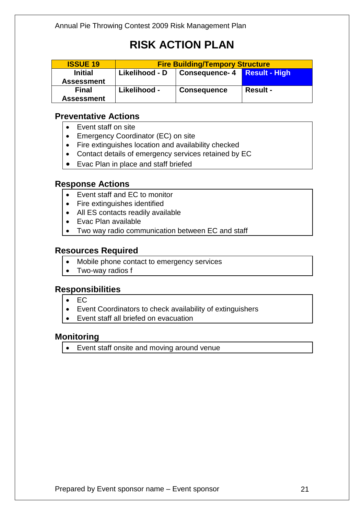| <b>ISSUE 19</b>                     | <b>Fire Building/Tempory Structure</b> |                                |                 |
|-------------------------------------|----------------------------------------|--------------------------------|-----------------|
| <b>Initial</b><br><b>Assessment</b> | Likelihood - D                         | Consequence- 4   Result - High |                 |
| <b>Final</b><br><b>Assessment</b>   | Likelihood -                           | <b>Consequence</b>             | <b>Result -</b> |

#### **Preventative Actions**

- Event staff on site
- Emergency Coordinator (EC) on site
- Fire extinguishes location and availability checked
- Contact details of emergency services retained by EC
- Evac Plan in place and staff briefed

#### **Response Actions**

- Event staff and EC to monitor
- Fire extinguishes identified
- All ES contacts readily available
- Evac Plan available
- Two way radio communication between EC and staff

#### **Resources Required**

- Mobile phone contact to emergency services
- Two-way radios f

#### **Responsibilities**

- EC
- Event Coordinators to check availability of extinguishers
- Event staff all briefed on evacuation

#### **Monitoring**

• Event staff onsite and moving around venue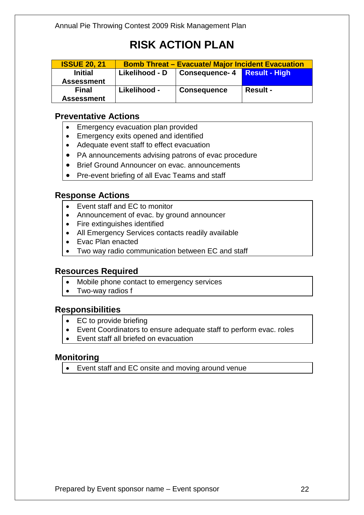| <b>ISSUE 20, 21</b> | <b>Bomb Threat - Evacuate/ Major Incident Evacuation</b> |                                |                 |
|---------------------|----------------------------------------------------------|--------------------------------|-----------------|
| <b>Initial</b>      | Likelihood - D                                           | Consequence- 4   Result - High |                 |
| <b>Assessment</b>   |                                                          |                                |                 |
| <b>Final</b>        | Likelihood -                                             | <b>Consequence</b>             | <b>Result -</b> |
| <b>Assessment</b>   |                                                          |                                |                 |

#### **Preventative Actions**

- Emergency evacuation plan provided
- Emergency exits opened and identified
- Adequate event staff to effect evacuation
- PA announcements advising patrons of evac procedure
- Brief Ground Announcer on evac. announcements
- Pre-event briefing of all Evac Teams and staff

#### **Response Actions**

- Event staff and EC to monitor
- Announcement of evac. by ground announcer
- Fire extinguishes identified
- All Emergency Services contacts readily available
- Evac Plan enacted
- Two way radio communication between EC and staff

#### **Resources Required**

- Mobile phone contact to emergency services
- Two-way radios f

#### **Responsibilities**

- EC to provide briefing
- Event Coordinators to ensure adequate staff to perform evac. roles
- Event staff all briefed on evacuation

#### **Monitoring**

• Event staff and EC onsite and moving around venue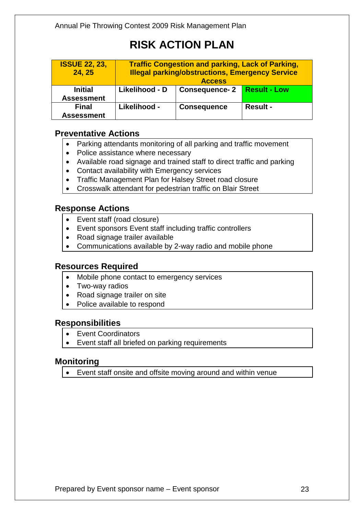| <b>ISSUE 22, 23,</b><br>24, 25 | <b>Traffic Congestion and parking, Lack of Parking,</b><br><b>Illegal parking/obstructions, Emergency Service</b><br><b>Access</b> |                      |                     |
|--------------------------------|------------------------------------------------------------------------------------------------------------------------------------|----------------------|---------------------|
| <b>Initial</b>                 | Likelihood - D                                                                                                                     | <b>Consequence-2</b> | <b>Result - Low</b> |
| <b>Assessment</b>              |                                                                                                                                    |                      |                     |
| <b>Final</b>                   | Likelihood -                                                                                                                       | <b>Consequence</b>   | <b>Result -</b>     |
| <b>Assessment</b>              |                                                                                                                                    |                      |                     |

#### **Preventative Actions**

- Parking attendants monitoring of all parking and traffic movement
- Police assistance where necessary
- Available road signage and trained staff to direct traffic and parking
- Contact availability with Emergency services
- Traffic Management Plan for Halsey Street road closure
- Crosswalk attendant for pedestrian traffic on Blair Street

#### **Response Actions**

- Event staff (road closure)
- Event sponsors Event staff including traffic controllers
- Road signage trailer available
- Communications available by 2-way radio and mobile phone

#### **Resources Required**

- Mobile phone contact to emergency services
- Two-way radios
- Road signage trailer on site
- Police available to respond

#### **Responsibilities**

- Event Coordinators
- Event staff all briefed on parking requirements

#### **Monitoring**

• Event staff onsite and offsite moving around and within venue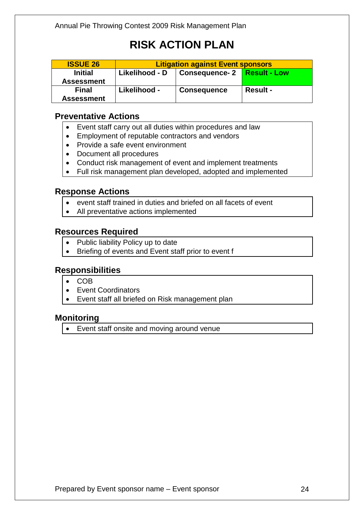| <b>ISSUE 26</b>                     | <b>Litigation against Event sponsors</b> |                      |                     |
|-------------------------------------|------------------------------------------|----------------------|---------------------|
| <b>Initial</b><br><b>Assessment</b> | Likelihood - D                           | <b>Consequence-2</b> | <b>Result - Low</b> |
| <b>Final</b><br><b>Assessment</b>   | Likelihood -                             | <b>Consequence</b>   | <b>Result -</b>     |

#### **Preventative Actions**

- Event staff carry out all duties within procedures and law
- Employment of reputable contractors and vendors
- Provide a safe event environment
- Document all procedures
- Conduct risk management of event and implement treatments
- Full risk management plan developed, adopted and implemented

#### **Response Actions**

- event staff trained in duties and briefed on all facets of event
- All preventative actions implemented

#### **Resources Required**

- Public liability Policy up to date
- Briefing of events and Event staff prior to event f

#### **Responsibilities**

- COB
- Event Coordinators
- Event staff all briefed on Risk management plan

#### **Monitoring**

• Event staff onsite and moving around venue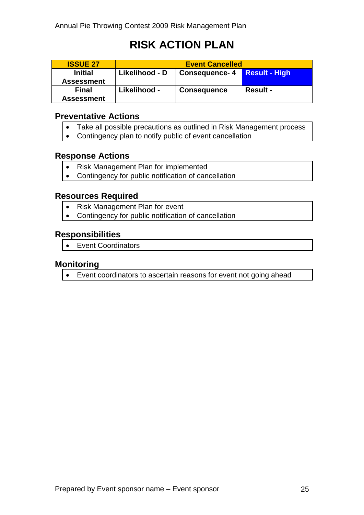| <b>ISSUE 27</b>   | <b>Event Cancelled</b> |                              |                 |
|-------------------|------------------------|------------------------------|-----------------|
| <b>Initial</b>    | Likelihood - D         | Consequence- 4 Result - High |                 |
| <b>Assessment</b> |                        |                              |                 |
| <b>Final</b>      | Likelihood -           | <b>Consequence</b>           | <b>Result -</b> |
| <b>Assessment</b> |                        |                              |                 |

#### **Preventative Actions**

- Take all possible precautions as outlined in Risk Management process
- Contingency plan to notify public of event cancellation

#### **Response Actions**

- Risk Management Plan for implemented
- Contingency for public notification of cancellation

#### **Resources Required**

- Risk Management Plan for event
- Contingency for public notification of cancellation

#### **Responsibilities**

• Event Coordinators

#### **Monitoring**

• Event coordinators to ascertain reasons for event not going ahead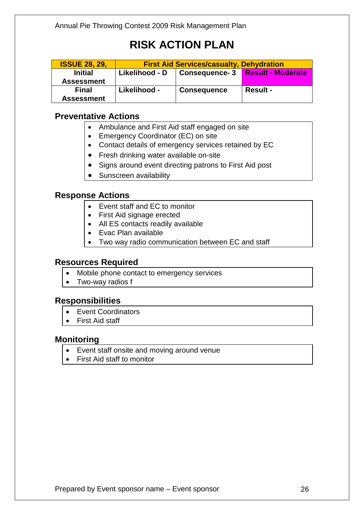| <b>ISSUE 28, 29,</b> | <b>First Aid Services/casualty, Dehydration</b> |                      |                          |
|----------------------|-------------------------------------------------|----------------------|--------------------------|
| <b>Initial</b>       | Likelihood - D                                  | <b>Consequence-3</b> | <b>Result - Moderate</b> |
| <b>Assessment</b>    |                                                 |                      |                          |
| <b>Final</b>         | Likelihood -                                    | <b>Consequence</b>   | <b>Result -</b>          |
| <b>Assessment</b>    |                                                 |                      |                          |

#### **Preventative Actions**

- Ambulance and First Aid staff engaged on site
- Emergency Coordinator (EC) on site
- Contact details of emergency services retained by EC
- Fresh drinking water available on-site
- Signs around event directing patrons to First Aid post
- Sunscreen availability

#### **Response Actions**

- Event staff and EC to monitor
- First Aid signage erected
- All ES contacts readily available
- Evac Plan available
- Two way radio communication between EC and staff

#### **Resources Required**

- Mobile phone contact to emergency services
- Two-way radios f

#### **Responsibilities**

- Event Coordinators
- First Aid staff

#### **Monitoring**

- Event staff onsite and moving around venue
- First Aid staff to monitor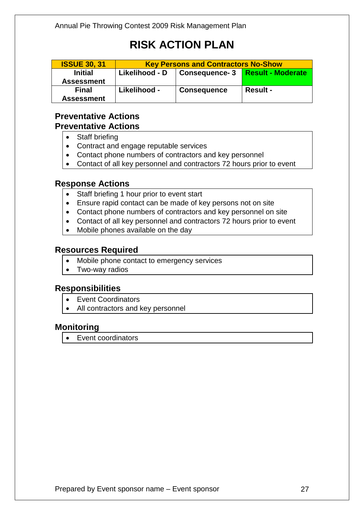| <b>ISSUE 30, 31</b>                 | <b>Key Persons and Contractors No-Show</b> |                    |                          |
|-------------------------------------|--------------------------------------------|--------------------|--------------------------|
| <b>Initial</b><br><b>Assessment</b> | Likelihood - D                             | Consequence-3      | <b>Result - Moderate</b> |
| <b>Final</b><br><b>Assessment</b>   | Likelihood -                               | <b>Consequence</b> | <b>Result -</b>          |

#### **Preventative Actions Preventative Actions**

- Staff briefing
- Contract and engage reputable services
- Contact phone numbers of contractors and key personnel
- Contact of all key personnel and contractors 72 hours prior to event

#### **Response Actions**

- Staff briefing 1 hour prior to event start
- Ensure rapid contact can be made of key persons not on site
- Contact phone numbers of contractors and key personnel on site
- Contact of all key personnel and contractors 72 hours prior to event
- Mobile phones available on the day

#### **Resources Required**

- Mobile phone contact to emergency services
- Two-way radios

#### **Responsibilities**

- Event Coordinators
- All contractors and key personnel

#### **Monitoring**

• Event coordinators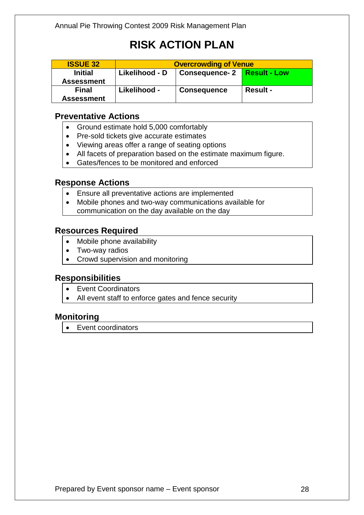| <b>ISSUE 32</b>                     | <b>Overcrowding of Venue</b> |                               |                 |
|-------------------------------------|------------------------------|-------------------------------|-----------------|
| <b>Initial</b><br><b>Assessment</b> | Likelihood - D               | Consequence- 2   Result - Low |                 |
| <b>Final</b><br><b>Assessment</b>   | Likelihood -                 | <b>Consequence</b>            | <b>Result -</b> |

#### **Preventative Actions**

- Ground estimate hold 5,000 comfortably
- Pre-sold tickets give accurate estimates
- Viewing areas offer a range of seating options
- All facets of preparation based on the estimate maximum figure.
- Gates/fences to be monitored and enforced

#### **Response Actions**

- Ensure all preventative actions are implemented
- Mobile phones and two-way communications available for communication on the day available on the day

#### **Resources Required**

- Mobile phone availability
- Two-way radios
- Crowd supervision and monitoring

#### **Responsibilities**

- Event Coordinators
- All event staff to enforce gates and fence security

#### **Monitoring**

• Event coordinators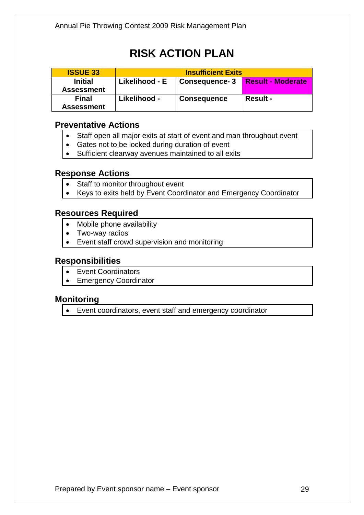| <b>ISSUE 33</b>                     | <b>Insufficient Exits</b> |                      |                          |
|-------------------------------------|---------------------------|----------------------|--------------------------|
| <b>Initial</b><br><b>Assessment</b> | Likelihood - E            | <b>Consequence-3</b> | <b>Result - Moderate</b> |
| <b>Final</b><br><b>Assessment</b>   | Likelihood -              | <b>Consequence</b>   | <b>Result -</b>          |

#### **Preventative Actions**

- Staff open all major exits at start of event and man throughout event
- Gates not to be locked during duration of event
- Sufficient clearway avenues maintained to all exits

#### **Response Actions**

- Staff to monitor throughout event
- Keys to exits held by Event Coordinator and Emergency Coordinator

#### **Resources Required**

- Mobile phone availability
- Two-way radios
- Event staff crowd supervision and monitoring

#### **Responsibilities**

- Event Coordinators
- Emergency Coordinator

#### **Monitoring**

• Event coordinators, event staff and emergency coordinator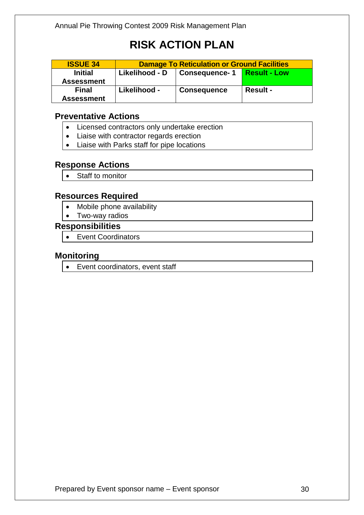| <b>ISSUE 34</b>   | <b>Damage To Reticulation or Ground Facilities</b> |                      |                     |
|-------------------|----------------------------------------------------|----------------------|---------------------|
| <b>Initial</b>    | Likelihood - D                                     | <b>Consequence-1</b> | <b>Result - Low</b> |
| <b>Assessment</b> |                                                    |                      |                     |
| <b>Final</b>      | Likelihood -                                       | <b>Consequence</b>   | <b>Result -</b>     |
| <b>Assessment</b> |                                                    |                      |                     |

#### **Preventative Actions**

- Licensed contractors only undertake erection
- Liaise with contractor regards erection
- Liaise with Parks staff for pipe locations

#### **Response Actions**

• Staff to monitor

#### **Resources Required**

- Mobile phone availability
- Two-way radios

#### **Responsibilities**

• Event Coordinators

#### **Monitoring**

• Event coordinators, event staff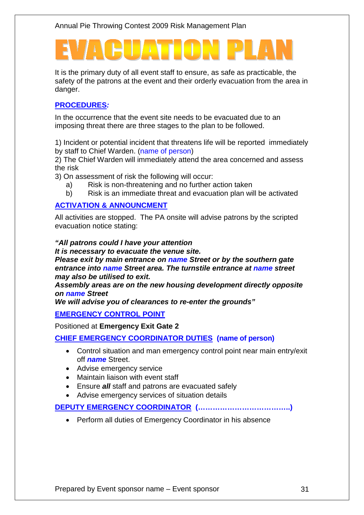It is the primary duty of all event staff to ensure, as safe as practicable, the safety of the patrons at the event and their orderly evacuation from the area in danger.

#### **PROCEDURES***:*

In the occurrence that the event site needs to be evacuated due to an imposing threat there are three stages to the plan to be followed.

1) Incident or potential incident that threatens life will be reported immediately by staff to Chief Warden. (name of person)

2) The Chief Warden will immediately attend the area concerned and assess the risk

3) On assessment of risk the following will occur:

- a) Risk is non-threatening and no further action taken
- b) Risk is an immediate threat and evacuation plan will be activated

#### **ACTIVATION & ANNOUNCMENT**

All activities are stopped. The PA onsite will advise patrons by the scripted evacuation notice stating:

#### *"All patrons could I have your attention*

*It is necessary to evacuate the venue site.*

*Please exit by main entrance on name Street or by the southern gate entrance into name Street area. The turnstile entrance at name street may also be utilised to exit.* 

*Assembly areas are on the new housing development directly opposite on name Street*

*We will advise you of clearances to re-enter the grounds"*

#### **EMERGENCY CONTROL POINT**

Positioned at **Emergency Exit Gate 2**

**CHIEF EMERGENCY COORDINATOR DUTIES (name of person)**

- Control situation and man emergency control point near main entry/exit off *name* Street.
- Advise emergency service
- Maintain liaison with event staff
- Ensure *all* staff and patrons are evacuated safely
- Advise emergency services of situation details

#### **DEPUTY EMERGENCY COORDINATOR (………………………………..)**

• Perform all duties of Emergency Coordinator in his absence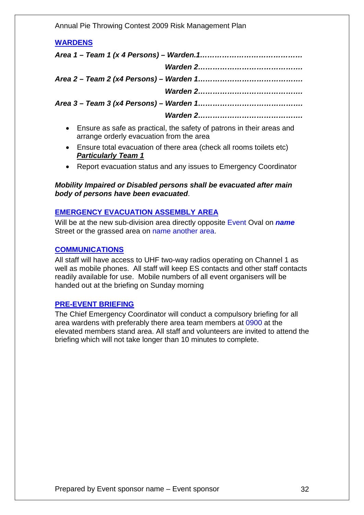Annual Pie Throwing Contest 2009 Risk Management Plan

### **WARDENS**  *Area 1 – Team 1 (x 4 Persons) – Warden.1…………………………………… Warden 2……………………………………. Area 2 – Team 2 (x4 Persons) – Warden 1……………………………………. Warden 2……………………………………. Area 3 – Team 3 (x4 Persons) – Warden 1……………………………………. Warden 2…………………………………….*

- Ensure as safe as practical, the safety of patrons in their areas and arrange orderly evacuation from the area
- Ensure total evacuation of there area (check all rooms toilets etc) *Particularly Team 1*
- Report evacuation status and any issues to Emergency Coordinator

#### *Mobility Impaired or Disabled persons shall be evacuated after main body of persons have been evacuated*.

#### **EMERGENCY EVACUATION ASSEMBLY AREA**

Will be at the new sub-division area directly opposite Event Oval on *name* Street or the grassed area on name another area.

#### **COMMUNICATIONS**

All staff will have access to UHF two-way radios operating on Channel 1 as well as mobile phones. All staff will keep ES contacts and other staff contacts readily available for use. Mobile numbers of all event organisers will be handed out at the briefing on Sunday morning

#### **PRE-EVENT BRIEFING**

The Chief Emergency Coordinator will conduct a compulsory briefing for all area wardens with preferably there area team members at 0900 at the elevated members stand area. All staff and volunteers are invited to attend the briefing which will not take longer than 10 minutes to complete.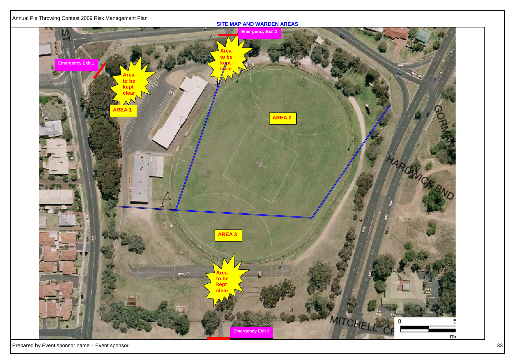